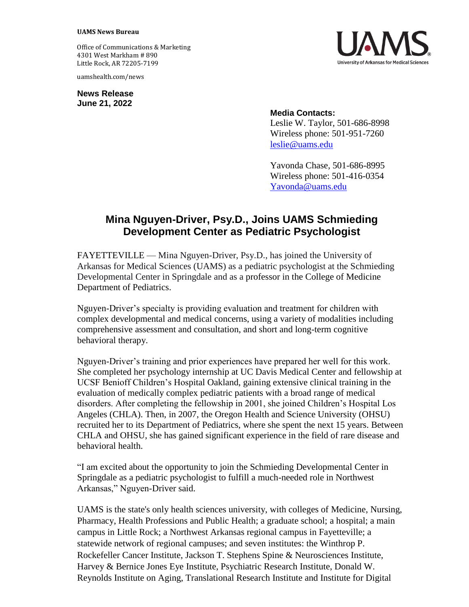## **UAMS News Bureau**

Office of Communications & Marketing 4301 West Markham # 890 Little Rock, AR 72205-7199

uamshealth.com/news

**News Release June 21, 2022**



## **Media Contacts:**

Leslie W. Taylor, 501-686-8998 Wireless phone: 501-951-7260 [leslie@uams.edu](mailto:leslie@uams.edu)

Yavonda Chase, 501-686-8995 Wireless phone: 501-416-0354 [Yavonda@uams.edu](mailto:Yavonda@uams.edu)

## **Mina Nguyen-Driver, Psy.D., Joins UAMS Schmieding Development Center as Pediatric Psychologist**

FAYETTEVILLE — Mina Nguyen-Driver, Psy.D., has joined the University of Arkansas for Medical Sciences (UAMS) as a pediatric psychologist at the Schmieding Developmental Center in Springdale and as a professor in the College of Medicine Department of Pediatrics.

Nguyen-Driver's specialty is providing evaluation and treatment for children with complex developmental and medical concerns, using a variety of modalities including comprehensive assessment and consultation, and short and long-term cognitive behavioral therapy.

Nguyen-Driver's training and prior experiences have prepared her well for this work. She completed her psychology internship at UC Davis Medical Center and fellowship at UCSF Benioff Children's Hospital Oakland, gaining extensive clinical training in the evaluation of medically complex pediatric patients with a broad range of medical disorders. After completing the fellowship in 2001, she joined Children's Hospital Los Angeles (CHLA). Then, in 2007, the Oregon Health and Science University (OHSU) recruited her to its Department of Pediatrics, where she spent the next 15 years. Between CHLA and OHSU, she has gained significant experience in the field of rare disease and behavioral health.

"I am excited about the opportunity to join the Schmieding Developmental Center in Springdale as a pediatric psychologist to fulfill a much-needed role in Northwest Arkansas," Nguyen-Driver said.

UAMS is the state's only health sciences university, with colleges of Medicine, Nursing, Pharmacy, Health Professions and Public Health; a graduate school; a hospital; a main campus in Little Rock; a Northwest Arkansas regional campus in Fayetteville; a statewide network of regional campuses; and seven institutes: the Winthrop P. Rockefeller Cancer Institute, Jackson T. Stephens Spine & Neurosciences Institute, Harvey & Bernice Jones Eye Institute, Psychiatric Research Institute, Donald W. Reynolds Institute on Aging, Translational Research Institute and Institute for Digital